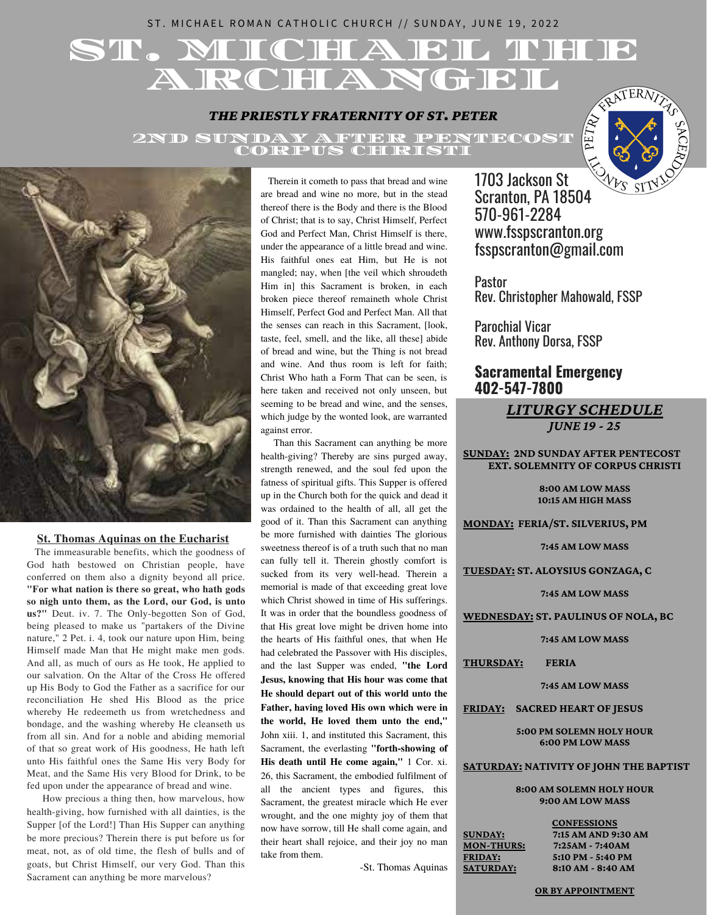# ST. MICHAEL ROMAN CATHOLIC CHURCH // SUNDAY, JUNE 19, 2022

# ST. MIICHAEL THUE A RCHANGEL

### *THE PRIESTLY FRATERNITY OF ST. PETER*

2ND SUNDAY AFTER PENTECOST CORPUS CHRISTI





### **St. Thomas Aquinas on the Eucharist**

The immeasurable benefits, which the goodness of God hath bestowed on Christian people, have conferred on them also a dignity beyond all price. **"For what nation is there so great, who hath gods so nigh unto them, as the Lord, our God, is unto us?"** Deut. iv. 7. The Only-begotten Son of God, being pleased to make us "partakers of the Divine nature," 2 Pet. i. 4, took our nature upon Him, being Himself made Man that He might make men gods. And all, as much of ours as He took, He applied to our salvation. On the Altar of the Cross He offered up His Body to God the Father as a sacrifice for our reconciliation He shed His Blood as the price whereby He redeemeth us from wretchedness and bondage, and the washing whereby He cleanseth us from all sin. And for a noble and abiding memorial of that so great work of His goodness, He hath left unto His faithful ones the Same His very Body for Meat, and the Same His very Blood for Drink, to be fed upon under the appearance of bread and wine.

How precious a thing then, how marvelous, how health-giving, how furnished with all dainties, is the Supper [of the Lord!] Than His Supper can anything be more precious? Therein there is put before us for meat, not, as of old time, the flesh of bulls and of goats, but Christ Himself, our very God. Than this Sacrament can anything be more marvelous?

Therein it cometh to pass that bread and wine are bread and wine no more, but in the stead thereof there is the Body and there is the Blood of Christ; that is to say, Christ Himself, Perfect God and Perfect Man, Christ Himself is there, under the appearance of a little bread and wine. His faithful ones eat Him, but He is not mangled; nay, when [the veil which shroudeth Him in] this Sacrament is broken, in each broken piece thereof remaineth whole Christ Himself, Perfect God and Perfect Man. All that the senses can reach in this Sacrament, [look, taste, feel, smell, and the like, all these] abide of bread and wine, but the Thing is not bread and wine. And thus room is left for faith; Christ Who hath a Form That can be seen, is here taken and received not only unseen, but seeming to be bread and wine, and the senses, which judge by the wonted look, are warranted against error.

Than this Sacrament can anything be more health-giving? Thereby are sins purged away, strength renewed, and the soul fed upon the fatness of spiritual gifts. This Supper is offered up in the Church both for the quick and dead it was ordained to the health of all, all get the good of it. Than this Sacrament can anything be more furnished with dainties The glorious sweetness thereof is of a truth such that no man can fully tell it. Therein ghostly comfort is sucked from its very well-head. Therein a memorial is made of that exceeding great love which Christ showed in time of His sufferings. It was in order that the boundless goodness of that His great love might be driven home into the hearts of His faithful ones, that when He had celebrated the Passover with His disciples, and the last Supper was ended, **"the Lord Jesus, knowing that His hour was come that He should depart out of this world unto the Father, having loved His own which were in the world, He loved them unto the end,"** John xiii. 1, and instituted this Sacrament, this Sacrament, the everlasting **"forth-showing of His death until He come again,"** 1 Cor. xi. 26, this Sacrament, the embodied fulfilment of all the ancient types and figures, this Sacrament, the greatest miracle which He ever wrought, and the one mighty joy of them that now have sorrow, till He shall come again, and their heart shall rejoice, and their joy no man take from them.

-St. Thomas Aquinas

1703 Jackson St Scranton, PA 18504 570-961-2284 www.fsspscranton.org fsspscranton@gmail.com

**Pastor** Rev. Christopher Mahowald, FSSP

Parochial Vicar Rev. Anthony Dorsa, FSSP

# **Sacramental Emergency 402-547-7800**

### *LITURGY SCHEDULE JUNE 19 - 25*

**SUNDAY: 2ND SUNDAY AFTER PENTECOST EXT. SOLEMNITY OF CORPUS CHRISTI**

> **8:00 AM LOW MASS 10:15 AM HIGH MASS**

**MONDAY: FERIA/ST. SILVERIUS, PM**

**7:45 AM LOW MASS**

**TUESDAY: ST. ALOYSIUS GONZAGA, C**

**7:45 AM LOW MASS**

**WEDNESDAY: ST. PAULINUS OF NOLA, BC**

**7:45 AM LOW MASS**

**THURSDAY: FERIA**

**7:45 AM LOW MASS**

**FRIDAY: SACRED HEART OF JESUS**

**5:00 PM SOLEMN HOLY HOUR 6:00 PM LOW MASS**

### **SATURDAY: NATIVITY OF JOHN THE BAPTIST**

**8:00 AM SOLEMN HOLY HOUR 9:00 AM LOW MASS**

| <b>SUNDAY:</b>    |
|-------------------|
| <b>MON-THURS:</b> |
| <u> FRIDAY:</u>   |
| <u>SATURDAY:</u>  |

**CONFESSIONS SUNDAY: 7:15 AM AND 9:30 AM MON-THURS: 7:25AM - 7:40AM FRIDAY: 5:10 PM - 5:40 PM SATURDAY: 8:10 AM - 8:40 AM**

#### **OR BY APPOINTMENT**